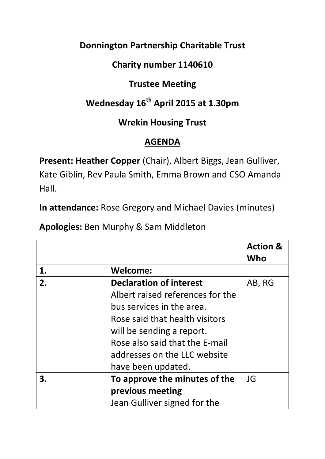### **Donnington Partnership Charitable Trust**

## **Charity number 1140610**

## **Trustee Meeting**

# **Wednesday 16th April 2015 at 1.30pm**

### **Wrekin Housing Trust**

## **AGENDA**

**Present: Heather Copper** (Chair), Albert Biggs, Jean Gulliver, Kate Giblin, Rev Paula Smith, Emma Brown and CSO Amanda Hall.

**In attendance:** Rose Gregory and Michael Davies (minutes)

**Apologies:** Ben Murphy & Sam Middleton

|    |                                  | <b>Action &amp;</b><br>Who |
|----|----------------------------------|----------------------------|
| 1. | <b>Welcome:</b>                  |                            |
| 2. | <b>Declaration of interest</b>   | AB, RG                     |
|    | Albert raised references for the |                            |
|    | bus services in the area.        |                            |
|    | Rose said that health visitors   |                            |
|    | will be sending a report.        |                            |
|    | Rose also said that the E-mail   |                            |
|    | addresses on the LLC website     |                            |
|    | have been updated.               |                            |
| 3. | To approve the minutes of the    | JG                         |
|    | previous meeting                 |                            |
|    | Jean Gulliver signed for the     |                            |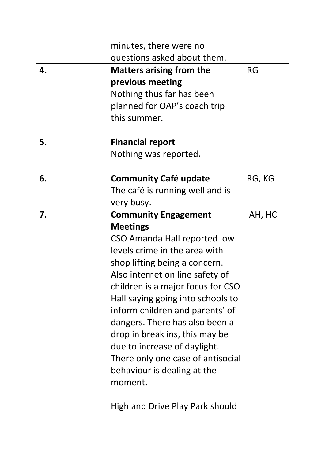|    | minutes, there were no                 |           |
|----|----------------------------------------|-----------|
|    | questions asked about them.            |           |
| 4. | <b>Matters arising from the</b>        | <b>RG</b> |
|    | previous meeting                       |           |
|    | Nothing thus far has been              |           |
|    | planned for OAP's coach trip           |           |
|    | this summer.                           |           |
| 5. | <b>Financial report</b>                |           |
|    | Nothing was reported.                  |           |
| 6. | <b>Community Café update</b>           | RG, KG    |
|    | The café is running well and is        |           |
|    | very busy.                             |           |
| 7. | <b>Community Engagement</b>            | AH, HC    |
|    | <b>Meetings</b>                        |           |
|    | CSO Amanda Hall reported low           |           |
|    | levels crime in the area with          |           |
|    | shop lifting being a concern.          |           |
|    | Also internet on line safety of        |           |
|    | children is a major focus for CSO      |           |
|    | Hall saying going into schools to      |           |
|    | inform children and parents' of        |           |
|    | dangers. There has also been a         |           |
|    | drop in break ins, this may be         |           |
|    | due to increase of daylight.           |           |
|    | There only one case of antisocial      |           |
|    | behaviour is dealing at the            |           |
|    | moment.                                |           |
|    | <b>Highland Drive Play Park should</b> |           |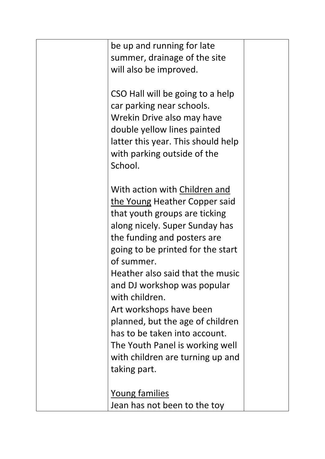| be up and running for late<br>summer, drainage of the site<br>will also be improved.                                                                                                                                                                                                                                                                                                                                                                                                            |  |
|-------------------------------------------------------------------------------------------------------------------------------------------------------------------------------------------------------------------------------------------------------------------------------------------------------------------------------------------------------------------------------------------------------------------------------------------------------------------------------------------------|--|
| CSO Hall will be going to a help<br>car parking near schools.<br>Wrekin Drive also may have<br>double yellow lines painted<br>latter this year. This should help<br>with parking outside of the<br>School.                                                                                                                                                                                                                                                                                      |  |
| With action with Children and<br>the Young Heather Copper said<br>that youth groups are ticking<br>along nicely. Super Sunday has<br>the funding and posters are<br>going to be printed for the start<br>of summer.<br>Heather also said that the music<br>and DJ workshop was popular<br>with children.<br>Art workshops have been<br>planned, but the age of children<br>has to be taken into account.<br>The Youth Panel is working well<br>with children are turning up and<br>taking part. |  |
| <u>Young families</u><br>Jean has not been to the toy                                                                                                                                                                                                                                                                                                                                                                                                                                           |  |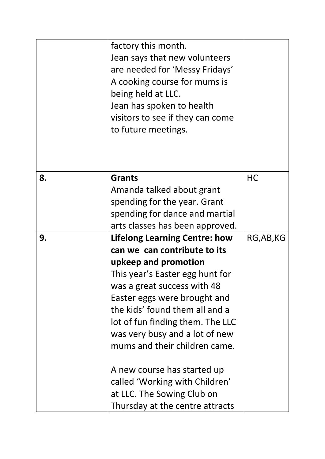|    | factory this month.<br>Jean says that new volunteers<br>are needed for 'Messy Fridays'<br>A cooking course for mums is<br>being held at LLC.<br>Jean has spoken to health<br>visitors to see if they can come<br>to future meetings. |            |
|----|--------------------------------------------------------------------------------------------------------------------------------------------------------------------------------------------------------------------------------------|------------|
| 8. | <b>Grants</b>                                                                                                                                                                                                                        | <b>HC</b>  |
|    | Amanda talked about grant                                                                                                                                                                                                            |            |
|    | spending for the year. Grant                                                                                                                                                                                                         |            |
|    | spending for dance and martial                                                                                                                                                                                                       |            |
|    | arts classes has been approved.                                                                                                                                                                                                      |            |
| 9. | <b>Lifelong Learning Centre: how</b>                                                                                                                                                                                                 | RG, AB, KG |
|    | can we can contribute to its                                                                                                                                                                                                         |            |
|    | upkeep and promotion                                                                                                                                                                                                                 |            |
|    | This year's Easter egg hunt for                                                                                                                                                                                                      |            |
|    | was a great success with 48                                                                                                                                                                                                          |            |
|    | Easter eggs were brought and                                                                                                                                                                                                         |            |
|    | the kids' found them all and a                                                                                                                                                                                                       |            |
|    | lot of fun finding them. The LLC                                                                                                                                                                                                     |            |
|    | was very busy and a lot of new                                                                                                                                                                                                       |            |
|    | mums and their children came.                                                                                                                                                                                                        |            |
|    | A new course has started up                                                                                                                                                                                                          |            |
|    | called 'Working with Children'                                                                                                                                                                                                       |            |
|    | at LLC. The Sowing Club on                                                                                                                                                                                                           |            |
|    | Thursday at the centre attracts                                                                                                                                                                                                      |            |